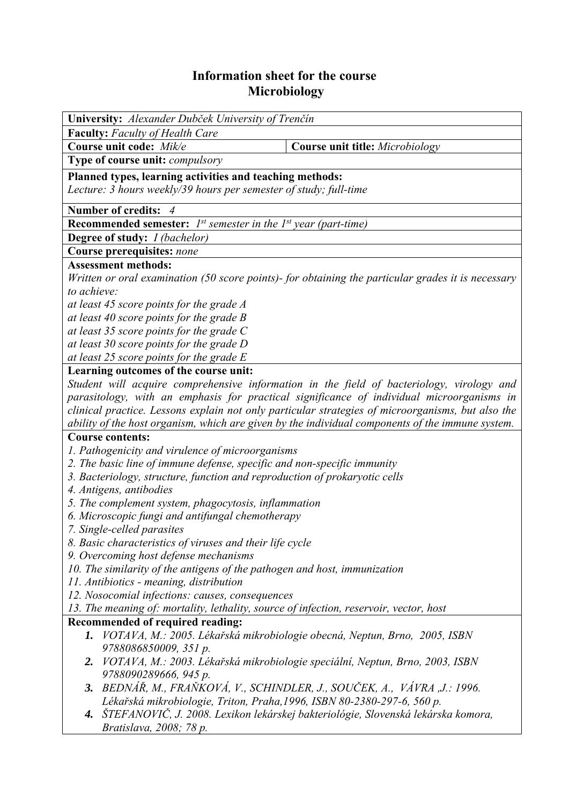## **Information sheet for the course Microbiology**

| University: Alexander Dubček University of Trenčín                                                 |                                                                                                  |  |  |  |  |
|----------------------------------------------------------------------------------------------------|--------------------------------------------------------------------------------------------------|--|--|--|--|
| <b>Faculty:</b> Faculty of Health Care                                                             |                                                                                                  |  |  |  |  |
| Course unit code: Mik/e                                                                            | Course unit title: Microbiology                                                                  |  |  |  |  |
| Type of course unit: compulsory                                                                    |                                                                                                  |  |  |  |  |
| Planned types, learning activities and teaching methods:                                           |                                                                                                  |  |  |  |  |
| Lecture: 3 hours weekly/39 hours per semester of study; full-time                                  |                                                                                                  |  |  |  |  |
| <b>Number of credits:</b>                                                                          |                                                                                                  |  |  |  |  |
| <b>Recommended semester:</b> $I^{st}$ semester in the $I^{st}$ year (part-time)                    |                                                                                                  |  |  |  |  |
| <b>Degree of study:</b> <i>I (bachelor)</i>                                                        |                                                                                                  |  |  |  |  |
| Course prerequisites: none                                                                         |                                                                                                  |  |  |  |  |
| <b>Assessment methods:</b>                                                                         |                                                                                                  |  |  |  |  |
| Written or oral examination (50 score points)- for obtaining the particular grades it is necessary |                                                                                                  |  |  |  |  |
| to achieve:                                                                                        |                                                                                                  |  |  |  |  |
| at least 45 score points for the grade A                                                           |                                                                                                  |  |  |  |  |
| at least 40 score points for the grade $B$                                                         |                                                                                                  |  |  |  |  |
| at least 35 score points for the grade $C$                                                         |                                                                                                  |  |  |  |  |
| at least 30 score points for the grade D                                                           |                                                                                                  |  |  |  |  |
| at least 25 score points for the grade $E$                                                         |                                                                                                  |  |  |  |  |
| Learning outcomes of the course unit:                                                              |                                                                                                  |  |  |  |  |
| Student will acquire comprehensive information in the field of bacteriology, virology and          |                                                                                                  |  |  |  |  |
| parasitology, with an emphasis for practical significance of individual microorganisms in          |                                                                                                  |  |  |  |  |
| clinical practice. Lessons explain not only particular strategies of microorganisms, but also the  |                                                                                                  |  |  |  |  |
|                                                                                                    | ability of the host organism, which are given by the individual components of the immune system. |  |  |  |  |
| <b>Course contents:</b>                                                                            |                                                                                                  |  |  |  |  |
| 1. Pathogenicity and virulence of microorganisms                                                   |                                                                                                  |  |  |  |  |
| 2. The basic line of immune defense, specific and non-specific immunity                            |                                                                                                  |  |  |  |  |
| 3. Bacteriology, structure, function and reproduction of prokaryotic cells                         |                                                                                                  |  |  |  |  |
| 4. Antigens, antibodies                                                                            |                                                                                                  |  |  |  |  |
| 5. The complement system, phagocytosis, inflammation                                               |                                                                                                  |  |  |  |  |
| 6. Microscopic fungi and antifungal chemotherapy                                                   |                                                                                                  |  |  |  |  |
| 7. Single-celled parasites<br>8. Basic characteristics of viruses and their life cycle             |                                                                                                  |  |  |  |  |
| 9. Overcoming host defense mechanisms                                                              |                                                                                                  |  |  |  |  |
| 10. The similarity of the antigens of the pathogen and host, immunization                          |                                                                                                  |  |  |  |  |
| 11. Antibiotics - meaning, distribution                                                            |                                                                                                  |  |  |  |  |
| 12. Nosocomial infections: causes, consequences                                                    |                                                                                                  |  |  |  |  |
| 13. The meaning of: mortality, lethality, source of infection, reservoir, vector, host             |                                                                                                  |  |  |  |  |
| Recommended of required reading:                                                                   |                                                                                                  |  |  |  |  |
| 1.                                                                                                 | VOTAVA, M.: 2005. Lékařská mikrobiologie obecná, Neptun, Brno, 2005, ISBN                        |  |  |  |  |
| 9788086850009, 351 p.                                                                              |                                                                                                  |  |  |  |  |
| 2. VOTAVA, M.: 2003. Lékařská mikrobiologie speciální, Neptun, Brno, 2003, ISBN                    |                                                                                                  |  |  |  |  |
| 9788090289666, 945 p.                                                                              |                                                                                                  |  |  |  |  |
| BEDNÁŘ, M., FRAŇKOVÁ, V., SCHINDLER, J., SOUČEK, A., VÁVRA ,J.: 1996.<br>3.                        |                                                                                                  |  |  |  |  |
| Lékařská mikrobiologie, Triton, Praha, 1996, ISBN 80-2380-297-6, 560 p.                            |                                                                                                  |  |  |  |  |
|                                                                                                    | 4. ŠTEFANOVIČ, J. 2008. Lexikon lekárskej bakteriológie, Slovenská lekárska komora,              |  |  |  |  |
| Bratislava, 2008; 78 p.                                                                            |                                                                                                  |  |  |  |  |
|                                                                                                    |                                                                                                  |  |  |  |  |